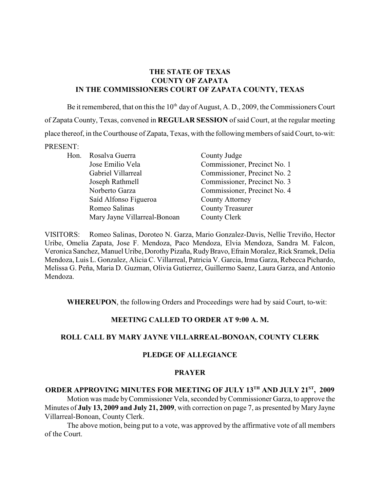### **THE STATE OF TEXAS COUNTY OF ZAPATA IN THE COMMISSIONERS COURT OF ZAPATA COUNTY, TEXAS**

Be it remembered, that on this the  $10<sup>th</sup>$  day of August, A. D., 2009, the Commissioners Court of Zapata County, Texas, convened in **REGULAR SESSION** of said Court, at the regular meeting place thereof, in the Courthouse of Zapata, Texas, with the following members of said Court, to-wit: PRESENT:

Hon. Rosalva Guerra County Judge Saíd Alfonso Figueroa County Attorney Romeo Salinas County Treasurer Mary Jayne Villarreal-Bonoan County Clerk

Jose Emilio Vela Commissioner, Precinct No. 1 Gabriel Villarreal Commissioner, Precinct No. 2 Joseph Rathmell Commissioner, Precinct No. 3 Norberto Garza Commissioner, Precinct No. 4

VISITORS: Romeo Salinas, Doroteo N. Garza, Mario Gonzalez-Davis, Nellie Treviño, Hector Uribe, Omelia Zapata, Jose F. Mendoza, Paco Mendoza, Elvia Mendoza, Sandra M. Falcon, Veronica Sanchez, Manuel Uribe, Dorothy Pizaña, Rudy Bravo, Efrain Moralez, Rick Sramek, Delia Mendoza, Luis L. Gonzalez, Alicia C. Villarreal, Patricia V. Garcia, Irma Garza, Rebecca Pichardo, Melissa G. Peña, Maria D. Guzman, Olivia Gutierrez, Guillermo Saenz, Laura Garza, and Antonio Mendoza.

**WHEREUPON**, the following Orders and Proceedings were had by said Court, to-wit:

#### **MEETING CALLED TO ORDER AT 9:00 A. M.**

#### **ROLL CALL BY MARY JAYNE VILLARREAL-BONOAN, COUNTY CLERK**

#### **PLEDGE OF ALLEGIANCE**

#### **PRAYER**

# **ORDER APPROVING MINUTES FOR MEETING OF JULY 13TH AND JULY 21ST, 2009** Motion was made by Commissioner Vela, seconded by Commissioner Garza, to approve the Minutes of **July 13, 2009 and July 21, 2009**, with correction on page 7, as presented by Mary Jayne Villarreal-Bonoan, County Clerk.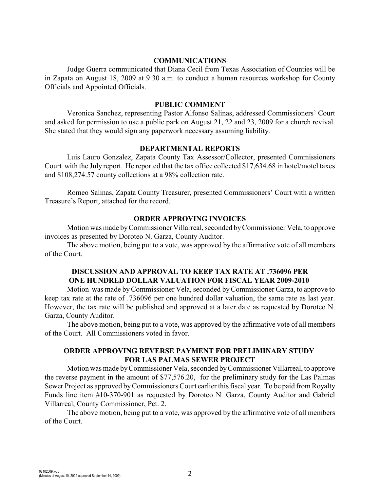#### **COMMUNICATIONS**

Judge Guerra communicated that Diana Cecil from Texas Association of Counties will be in Zapata on August 18, 2009 at 9:30 a.m. to conduct a human resources workshop for County Officials and Appointed Officials.

#### **PUBLIC COMMENT**

Veronica Sanchez, representing Pastor Alfonso Salinas, addressed Commissioners' Court and asked for permission to use a public park on August 21, 22 and 23, 2009 for a church revival. She stated that they would sign any paperwork necessary assuming liability.

### **DEPARTMENTAL REPORTS**

Luis Lauro Gonzalez, Zapata County Tax Assessor/Collector, presented Commissioners Court with the July report. He reported that the tax office collected \$17,634.68 in hotel/motel taxes and \$108,274.57 county collections at a 98% collection rate.

Romeo Salinas, Zapata County Treasurer, presented Commissioners' Court with a written Treasure's Report, attached for the record.

#### **ORDER APPROVING INVOICES**

Motion was made byCommissioner Villarreal, seconded by Commissioner Vela, to approve invoices as presented by Doroteo N. Garza, County Auditor.

The above motion, being put to a vote, was approved by the affirmative vote of all members of the Court.

# **DISCUSSION AND APPROVAL TO KEEP TAX RATE AT .736096 PER ONE HUNDRED DOLLAR VALUATION FOR FISCAL YEAR 2009-2010**

Motion was made by Commissioner Vela, seconded by Commissioner Garza, to approve to keep tax rate at the rate of .736096 per one hundred dollar valuation, the same rate as last year. However, the tax rate will be published and approved at a later date as requested by Doroteo N. Garza, County Auditor.

The above motion, being put to a vote, was approved by the affirmative vote of all members of the Court. All Commissioners voted in favor.

### **ORDER APPROVING REVERSE PAYMENT FOR PRELIMINARY STUDY FOR LAS PALMAS SEWER PROJECT**

Motion was made by Commissioner Vela, seconded byCommissioner Villarreal, to approve the reverse payment in the amount of \$77,576.20, for the preliminary study for the Las Palmas Sewer Project as approved by Commissioners Court earlier this fiscal year. To be paid from Royalty Funds line item #10-370-901 as requested by Doroteo N. Garza, County Auditor and Gabriel Villarreal, County Commissioner, Pct. 2.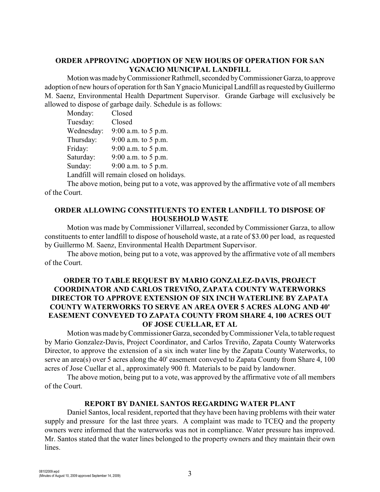# **ORDER APPROVING ADOPTION OF NEW HOURS OF OPERATION FOR SAN YGNACIO MUNICIPAL LANDFILL**

Motion was made by Commissioner Rathmell, seconded by Commissioner Garza, to approve adoption of new hours of operation for th San Ygnacio Municipal Landfill as requested by Guillermo M. Saenz, Environmental Health Department Supervisor. Grande Garbage will exclusively be allowed to dispose of garbage daily. Schedule is as follows:

| Monday:    | Closed                                   |
|------------|------------------------------------------|
| Tuesday:   | Closed                                   |
| Wednesday: | 9:00 a.m. to 5 p.m.                      |
| Thursday:  | $9:00$ a.m. to 5 p.m.                    |
| Friday:    | 9:00 a.m. to 5 p.m.                      |
| Saturday:  | $9:00$ a.m. to 5 p.m.                    |
| Sunday:    | 9:00 a.m. to 5 p.m.                      |
|            | Landfill will remain closed on holidays. |

The above motion, being put to a vote, was approved by the affirmative vote of all members of the Court.

#### **ORDER ALLOWING CONSTITUENTS TO ENTER LANDFILL TO DISPOSE OF HOUSEHOLD WASTE**

Motion was made by Commissioner Villarreal, seconded by Commissioner Garza, to allow constituents to enter landfill to dispose of household waste, at a rate of \$3.00 per load, as requested by Guillermo M. Saenz, Environmental Health Department Supervisor.

The above motion, being put to a vote, was approved by the affirmative vote of all members of the Court.

# **ORDER TO TABLE REQUEST BY MARIO GONZALEZ-DAVIS, PROJECT COORDINATOR AND CARLOS TREVIÑO, ZAPATA COUNTY WATERWORKS DIRECTOR TO APPROVE EXTENSION OF SIX INCH WATERLINE BY ZAPATA COUNTY WATERWORKS TO SERVE AN AREA OVER 5 ACRES ALONG AND 40' EASEMENT CONVEYED TO ZAPATA COUNTY FROM SHARE 4, 100 ACRES OUT OF JOSE CUELLAR, ET AL**

Motion was made by Commissioner Garza, seconded by Commissioner Vela, to table request by Mario Gonzalez-Davis, Project Coordinator, and Carlos Treviño, Zapata County Waterworks Director, to approve the extension of a six inch water line by the Zapata County Waterworks, to serve an area(s) over 5 acres along the 40' easement conveyed to Zapata County from Share 4, 100 acres of Jose Cuellar et al., approximately 900 ft. Materials to be paid by landowner.

The above motion, being put to a vote, was approved by the affirmative vote of all members of the Court.

#### **REPORT BY DANIEL SANTOS REGARDING WATER PLANT**

Daniel Santos, local resident, reported that they have been having problems with their water supply and pressure for the last three years. A complaint was made to TCEQ and the property owners were informed that the waterworks was not in compliance. Water pressure has improved. Mr. Santos stated that the water lines belonged to the property owners and they maintain their own lines.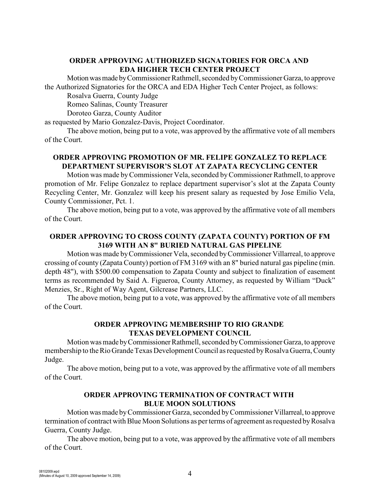### **ORDER APPROVING AUTHORIZED SIGNATORIES FOR ORCA AND EDA HIGHER TECH CENTER PROJECT**

Motion was made by Commissioner Rathmell, seconded by Commissioner Garza, to approve the Authorized Signatories for the ORCA and EDA Higher Tech Center Project, as follows:

Rosalva Guerra, County Judge

Romeo Salinas, County Treasurer

Doroteo Garza, County Auditor

as requested by Mario Gonzalez-Davis, Project Coordinator.

The above motion, being put to a vote, was approved by the affirmative vote of all members of the Court.

# **ORDER APPROVING PROMOTION OF MR. FELIPE GONZALEZ TO REPLACE DEPARTMENT SUPERVISOR'S SLOT AT ZAPATA RECYCLING CENTER**

Motion was made by Commissioner Vela, seconded by Commissioner Rathmell, to approve promotion of Mr. Felipe Gonzalez to replace department supervisor's slot at the Zapata County Recycling Center, Mr. Gonzalez will keep his present salary as requested by Jose Emilio Vela, County Commissioner, Pct. 1.

The above motion, being put to a vote, was approved by the affirmative vote of all members of the Court.

# **ORDER APPROVING TO CROSS COUNTY (ZAPATA COUNTY) PORTION OF FM 3169 WITH AN 8" BURIED NATURAL GAS PIPELINE**

Motion was made byCommissioner Vela, seconded byCommissioner Villarreal, to approve crossing of county (Zapata County) portion of FM 3169 with an 8" buried natural gas pipeline (min. depth 48"), with \$500.00 compensation to Zapata County and subject to finalization of easement terms as recommended by Said A. Figueroa, County Attorney, as requested by William "Duck" Menzies, Sr., Right of Way Agent, Gilcrease Partners, LLC.

The above motion, being put to a vote, was approved by the affirmative vote of all members of the Court.

# **ORDER APPROVING MEMBERSHIP TO RIO GRANDE TEXAS DEVELOPMENT COUNCIL**

Motion was made by Commissioner Rathmell, seconded by Commissioner Garza, to approve membership to the Rio Grande Texas Development Council as requested by Rosalva Guerra, County Judge.

The above motion, being put to a vote, was approved by the affirmative vote of all members of the Court.

### **ORDER APPROVING TERMINATION OF CONTRACT WITH BLUE MOON SOLUTIONS**

Motion was made by Commissioner Garza, seconded by Commissioner Villarreal, to approve termination of contract with Blue Moon Solutions as per terms of agreement as requested by Rosalva Guerra, County Judge.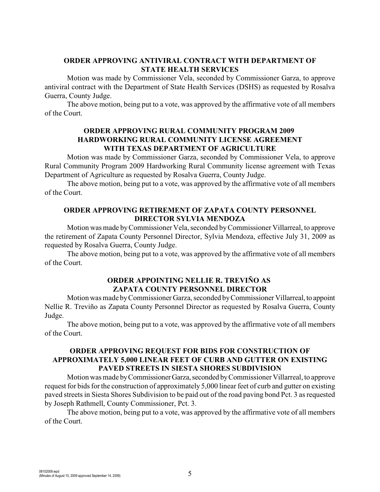# **ORDER APPROVING ANTIVIRAL CONTRACT WITH DEPARTMENT OF STATE HEALTH SERVICES**

Motion was made by Commissioner Vela, seconded by Commissioner Garza, to approve antiviral contract with the Department of State Health Services (DSHS) as requested by Rosalva Guerra, County Judge.

The above motion, being put to a vote, was approved by the affirmative vote of all members of the Court.

### **ORDER APPROVING RURAL COMMUNITY PROGRAM 2009 HARDWORKING RURAL COMMUNITY LICENSE AGREEMENT WITH TEXAS DEPARTMENT OF AGRICULTURE**

Motion was made by Commissioner Garza, seconded by Commissioner Vela, to approve Rural Community Program 2009 Hardworking Rural Community license agreement with Texas Department of Agriculture as requested by Rosalva Guerra, County Judge.

The above motion, being put to a vote, was approved by the affirmative vote of all members of the Court.

### **ORDER APPROVING RETIREMENT OF ZAPATA COUNTY PERSONNEL DIRECTOR SYLVIA MENDOZA**

Motion was made byCommissioner Vela, seconded by Commissioner Villarreal, to approve the retirement of Zapata County Personnel Director, Sylvia Mendoza, effective July 31, 2009 as requested by Rosalva Guerra, County Judge.

The above motion, being put to a vote, was approved by the affirmative vote of all members of the Court.

# **ORDER APPOINTING NELLIE R. TREVIÑO AS ZAPATA COUNTY PERSONNEL DIRECTOR**

Motion was made by Commissioner Garza, seconded by Commissioner Villarreal, to appoint Nellie R. Treviño as Zapata County Personnel Director as requested by Rosalva Guerra, County Judge.

The above motion, being put to a vote, was approved by the affirmative vote of all members of the Court.

# **ORDER APPROVING REQUEST FOR BIDS FOR CONSTRUCTION OF APPROXIMATELY 5,000 LINEAR FEET OF CURB AND GUTTER ON EXISTING PAVED STREETS IN SIESTA SHORES SUBDIVISION**

Motion was made by Commissioner Garza, seconded by Commissioner Villarreal, to approve request for bids for the construction of approximately 5,000 linear feet of curb and gutter on existing paved streets in Siesta Shores Subdivision to be paid out of the road paving bond Pct. 3 as requested by Joseph Rathmell, County Commissioner, Pct. 3.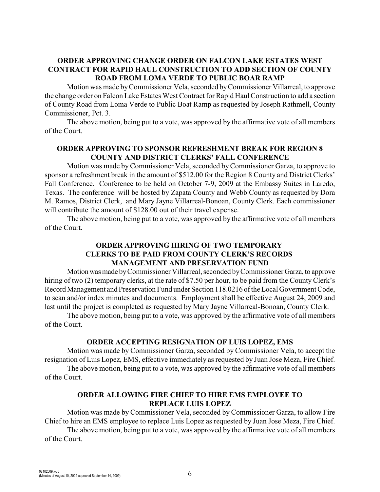# **ORDER APPROVING CHANGE ORDER ON FALCON LAKE ESTATES WEST CONTRACT FOR RAPID HAUL CONSTRUCTION TO ADD SECTION OF COUNTY ROAD FROM LOMA VERDE TO PUBLIC BOAR RAMP**

Motion was made by Commissioner Vela, seconded byCommissioner Villarreal, to approve the change order on Falcon Lake Estates West Contract for Rapid Haul Construction to add a section of County Road from Loma Verde to Public Boat Ramp as requested by Joseph Rathmell, County Commissioner, Pct. 3.

The above motion, being put to a vote, was approved by the affirmative vote of all members of the Court.

# **ORDER APPROVING TO SPONSOR REFRESHMENT BREAK FOR REGION 8 COUNTY AND DISTRICT CLERKS' FALL CONFERENCE**

Motion was made by Commissioner Vela, seconded byCommissioner Garza, to approve to sponsor a refreshment break in the amount of \$512.00 for the Region 8 County and District Clerks' Fall Conference. Conference to be held on October 7-9, 2009 at the Embassy Suites in Laredo, Texas. The conference will be hosted by Zapata County and Webb County as requested by Dora M. Ramos, District Clerk, and Mary Jayne Villarreal-Bonoan, County Clerk. Each commissioner will contribute the amount of \$128.00 out of their travel expense.

The above motion, being put to a vote, was approved by the affirmative vote of all members of the Court.

# **ORDER APPROVING HIRING OF TWO TEMPORARY CLERKS TO BE PAID FROM COUNTY CLERK'S RECORDS MANAGEMENT AND PRESERVATION FUND**

Motion was made by Commissioner Villarreal, seconded by Commissioner Garza, to approve hiring of two (2) temporary clerks, at the rate of \$7.50 per hour, to be paid from the County Clerk's Record Management and Preservation Fund under Section 118.0216 of the Local Government Code, to scan and/or index minutes and documents. Employment shall be effective August 24, 2009 and last until the project is completed as requested by Mary Jayne Villarreal-Bonoan, County Clerk.

The above motion, being put to a vote, was approved by the affirmative vote of all members of the Court.

#### **ORDER ACCEPTING RESIGNATION OF LUIS LOPEZ, EMS**

Motion was made by Commissioner Garza, seconded by Commissioner Vela, to accept the resignation of Luis Lopez, EMS, effective immediately as requested by Juan Jose Meza, Fire Chief.

The above motion, being put to a vote, was approved by the affirmative vote of all members of the Court.

### **ORDER ALLOWING FIRE CHIEF TO HIRE EMS EMPLOYEE TO REPLACE LUIS LOPEZ**

Motion was made by Commissioner Vela, seconded by Commissioner Garza, to allow Fire Chief to hire an EMS employee to replace Luis Lopez as requested by Juan Jose Meza, Fire Chief.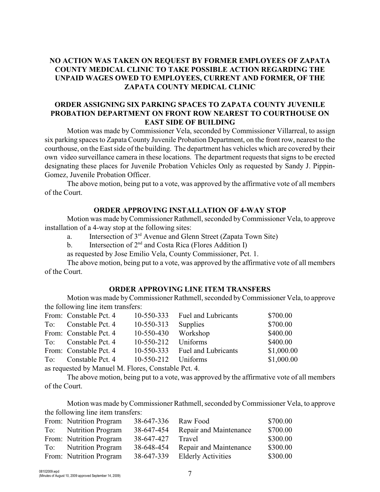# **NO ACTION WAS TAKEN ON REQUEST BY FORMER EMPLOYEES OF ZAPATA COUNTY MEDICAL CLINIC TO TAKE POSSIBLE ACTION REGARDING THE UNPAID WAGES OWED TO EMPLOYEES, CURRENT AND FORMER, OF THE ZAPATA COUNTY MEDICAL CLINIC**

### **ORDER ASSIGNING SIX PARKING SPACES TO ZAPATA COUNTY JUVENILE PROBATION DEPARTMENT ON FRONT ROW NEAREST TO COURTHOUSE ON EAST SIDE OF BUILDING**

Motion was made by Commissioner Vela, seconded by Commissioner Villarreal, to assign six parking spaces to Zapata County Juvenile Probation Department, on the front row, nearest to the courthouse, on the East side of the building. The department has vehicles which are covered by their own video surveillance camera in these locations. The department requests that signs to be erected designating these places for Juvenile Probation Vehicles Only as requested by Sandy J. Pippin-Gomez, Juvenile Probation Officer.

The above motion, being put to a vote, was approved by the affirmative vote of all members of the Court.

# **ORDER APPROVING INSTALLATION OF 4-WAY STOP**

Motion was made by Commissioner Rathmell, seconded by Commissioner Vela, to approve installation of a 4-way stop at the following sites:

- a. Intersection of  $3<sup>rd</sup>$  Avenue and Glenn Street (Zapata Town Site)
- b. Intersection of  $2<sup>nd</sup>$  and Costa Rica (Flores Addition I)
- as requested by Jose Emilio Vela, County Commissioner, Pct. 1.

The above motion, being put to a vote, was approved by the affirmative vote of all members of the Court.

#### **ORDER APPROVING LINE ITEM TRANSFERS**

Motion was made byCommissioner Rathmell, seconded byCommissioner Vela, to approve the following line item transfers:

|     | From: Constable Pct. 4 | 10-550-333       | <b>Fuel and Lubricants</b> | \$700.00   |
|-----|------------------------|------------------|----------------------------|------------|
| To: | Constable Pct. 4       | 10-550-313       | Supplies                   | \$700.00   |
|     | From: Constable Pct. 4 | 10-550-430       | Workshop                   | \$400.00   |
|     | To: Constable Pct. 4   | 10-550-212       | Uniforms                   | \$400.00   |
|     | From: Constable Pct. 4 | $10 - 550 - 333$ | <b>Fuel and Lubricants</b> | \$1,000.00 |
| To: | Constable Pct. 4       | $10 - 550 - 212$ | Uniforms                   | \$1,000.00 |
|     |                        |                  |                            |            |

as requested by Manuel M. Flores, Constable Pct. 4.

The above motion, being put to a vote, was approved by the affirmative vote of all members of the Court.

Motion was made by Commissioner Rathmell, seconded byCommissioner Vela, to approve the following line item transfers:

|     | From: Nutrition Program  | 38-647-336 | Raw Food                  | \$700.00 |
|-----|--------------------------|------------|---------------------------|----------|
| To: | <b>Nutrition Program</b> | 38-647-454 | Repair and Maintenance    | \$700.00 |
|     | From: Nutrition Program  | 38-647-427 | Travel                    | \$300.00 |
|     | To: Nutrition Program    | 38-648-454 | Repair and Maintenance    | \$300.00 |
|     | From: Nutrition Program  | 38-647-339 | <b>Elderly Activities</b> | \$300.00 |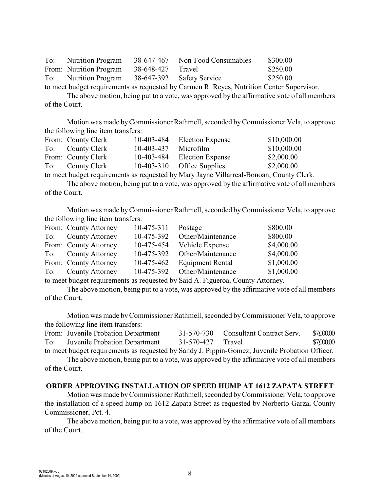| To: Nutrition Program                                                                                                                                                                                                                                                   |                   | 38-647-467 Non-Food Consumables | \$300.00 |
|-------------------------------------------------------------------------------------------------------------------------------------------------------------------------------------------------------------------------------------------------------------------------|-------------------|---------------------------------|----------|
| From: Nutrition Program                                                                                                                                                                                                                                                 | 38-648-427 Travel |                                 | \$250.00 |
| To: Nutrition Program                                                                                                                                                                                                                                                   |                   | 38-647-392 Safety Service       | \$250.00 |
| $\lambda_1$ , $\lambda_2$ , $\lambda_3$ , $\lambda_4$ , $\lambda_5$ , $\lambda_6$ , $\lambda_7$ , $\lambda_8$ , $\lambda_7$ , $\lambda_8$ , $\lambda_7$ , $\lambda_8$ , $\lambda_9$ , $\lambda_9$ , $\lambda_9$ , $\lambda_9$ , $\lambda_9$ , $\lambda_9$ , $\lambda_9$ |                   |                                 |          |

to meet budget requirements as requested by Carmen R. Reyes, Nutrition Center Supervisor. The above motion, being put to a vote, was approved by the affirmative vote of all members

of the Court.

Motion was made by Commissioner Rathmell, seconded by Commissioner Vela, to approve the following line item transfers:

| From: County Clerk | 10-403-484 | <b>Election Expense</b>    | \$10,000.00 |
|--------------------|------------|----------------------------|-------------|
| To: County Clerk   | 10-403-437 | Microfilm                  | \$10,000.00 |
| From: County Clerk | 10-403-484 | Election Expense           | \$2,000.00  |
| To: County Clerk   |            | 10-403-310 Office Supplies | \$2,000.00  |

to meet budget requirements as requested by Mary Jayne Villarreal-Bonoan, County Clerk.

The above motion, being put to a vote, was approved by the affirmative vote of all members of the Court.

Motion was made by Commissioner Rathmell, seconded byCommissioner Vela, to approve the following line item transfers:

|     | From: County Attorney  | $10-475-311$ | Postage                 | \$800.00   |
|-----|------------------------|--------------|-------------------------|------------|
| To: | <b>County Attorney</b> | 10-475-392   | Other/Maintenance       | \$800.00   |
|     | From: County Attorney  | 10-475-454   | Vehicle Expense         | \$4,000.00 |
|     | To: County Attorney    | 10-475-392   | Other/Maintenance       | \$4,000.00 |
|     | From: County Attorney  | 10-475-462   | <b>Equipment Rental</b> | \$1,000.00 |
|     | To: County Attorney    | 10-475-392   | Other/Maintenance       | \$1,000.00 |
|     |                        |              |                         |            |

to meet budget requirements as requested by Said A. Figueroa, County Attorney.

The above motion, being put to a vote, was approved by the affirmative vote of all members of the Court.

Motion was made by Commissioner Rathmell, seconded by Commissioner Vela, to approve the following line item transfers:

|     | From: Juvenile Probation Department                                                            |                   | 31-570-730 Consultant Contract Serv. | \$7,000.00 |
|-----|------------------------------------------------------------------------------------------------|-------------------|--------------------------------------|------------|
| To: | Juvenile Probation Department                                                                  | 31-570-427 Travel |                                      | \$7,000.00 |
|     | to meet budget requirements as requested by Sandy J. Pippin-Gomez, Juvenile Probation Officer. |                   |                                      |            |

The above motion, being put to a vote, was approved by the affirmative vote of all members of the Court.

#### **ORDER APPROVING INSTALLATION OF SPEED HUMP AT 1612 ZAPATA STREET**

Motion was made byCommissioner Rathmell, seconded byCommissioner Vela, to approve the installation of a speed hump on 1612 Zapata Street as requested by Norberto Garza, County Commissioner, Pct. 4.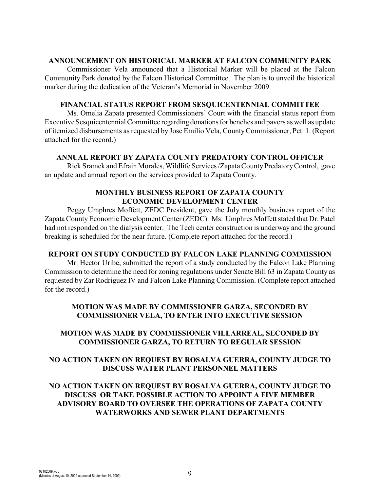#### **ANNOUNCEMENT ON HISTORICAL MARKER AT FALCON COMMUNITY PARK**

Commissioner Vela announced that a Historical Marker will be placed at the Falcon Community Park donated by the Falcon Historical Committee. The plan is to unveil the historical marker during the dedication of the Veteran's Memorial in November 2009.

### **FINANCIAL STATUS REPORT FROM SESQUICENTENNIAL COMMITTEE**

Ms. Omelia Zapata presented Commissioners' Court with the financial status report from Executive Sesquicentennial Committee regarding donations for benches and pavers as well as update of itemized disbursements as requested by Jose Emilio Vela, CountyCommissioner, Pct. 1. (Report attached for the record.)

### **ANNUAL REPORT BY ZAPATA COUNTY PREDATORY CONTROL OFFICER**

Rick Sramek and Efrain Morales, Wildlife Services /Zapata County Predatory Control, gave an update and annual report on the services provided to Zapata County.

### **MONTHLY BUSINESS REPORT OF ZAPATA COUNTY ECONOMIC DEVELOPMENT CENTER**

Peggy Umphres Moffett, ZEDC President, gave the July monthly business report of the Zapata County Economic Development Center (ZEDC). Ms. Umphres Moffett stated that Dr. Patel had not responded on the dialysis center. The Tech center construction is underway and the ground breaking is scheduled for the near future. (Complete report attached for the record.)

# **REPORT ON STUDY CONDUCTED BY FALCON LAKE PLANNING COMMISSION**

Mr. Hector Uribe, submitted the report of a study conducted by the Falcon Lake Planning Commission to determine the need for zoning regulations under Senate Bill 63 in Zapata County as requested by Zar Rodriguez IV and Falcon Lake Planning Commission. (Complete report attached for the record.)

# **MOTION WAS MADE BY COMMISSIONER GARZA, SECONDED BY COMMISSIONER VELA, TO ENTER INTO EXECUTIVE SESSION**

# **MOTION WAS MADE BY COMMISSIONER VILLARREAL, SECONDED BY COMMISSIONER GARZA, TO RETURN TO REGULAR SESSION**

# **NO ACTION TAKEN ON REQUEST BY ROSALVA GUERRA, COUNTY JUDGE TO DISCUSS WATER PLANT PERSONNEL MATTERS**

# **NO ACTION TAKEN ON REQUEST BY ROSALVA GUERRA, COUNTY JUDGE TO DISCUSS OR TAKE POSSIBLE ACTION TO APPOINT A FIVE MEMBER ADVISORY BOARD TO OVERSEE THE OPERATIONS OF ZAPATA COUNTY WATERWORKS AND SEWER PLANT DEPARTMENTS**